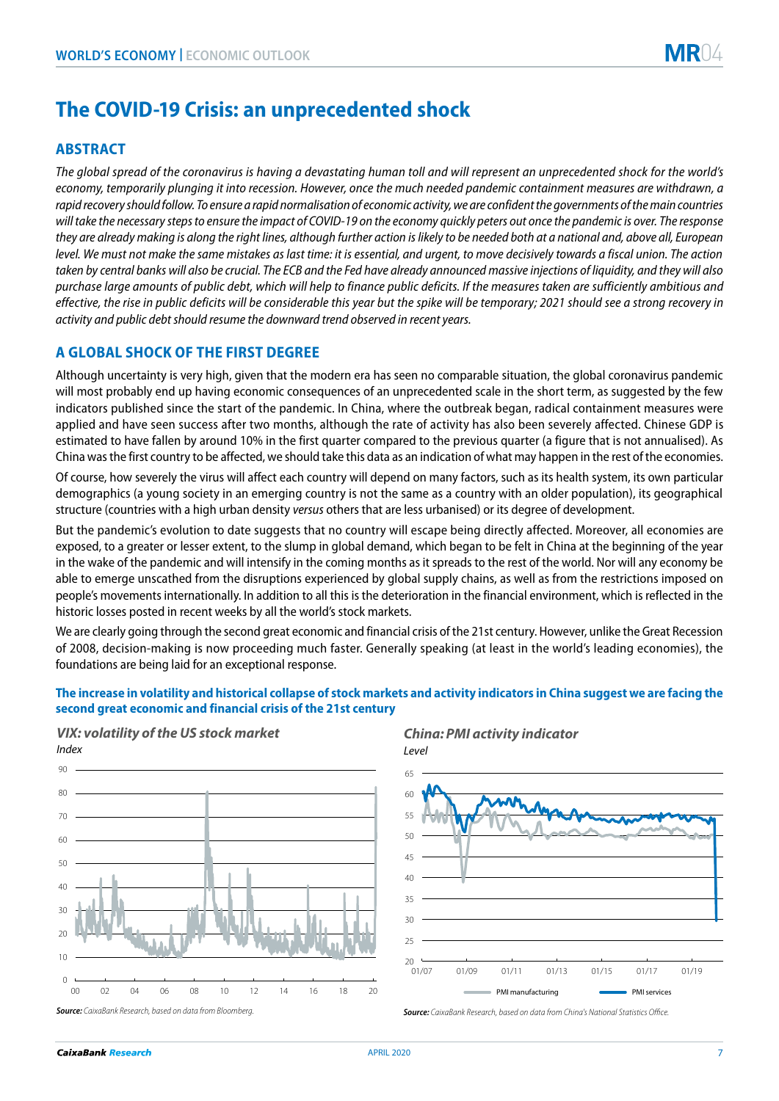# **The COVID-19 Crisis: an unprecedented shock**

# **ABSTRACT**

*The global spread of the coronavirus is having a devastating human toll and will represent an unprecedented shock for the world's economy, temporarily plunging it into recession. However, once the much needed pandemic containment measures are withdrawn, a rapid recovery should follow. To ensure a rapid normalisation of economic activity, we are confident the governments of the main countries will take the necessary steps to ensure the impact of COVID-19 on the economy quickly peters out once the pandemic is over. The response they are already making is along the right lines, although further action is likely to be needed both at a national and, above all, European level. We must not make the same mistakes as last time: it is essential, and urgent, to move decisively towards a fiscal union. The action taken by central banks will also be crucial. The ECB and the Fed have already announced massive injections of liquidity, and they will also purchase large amounts of public debt, which will help to finance public deficits. If the measures taken are sufficiently ambitious and effective, the rise in public deficits will be considerable this year but the spike will be temporary; 2021 should see a strong recovery in activity and public debt should resume the downward trend observed in recent years.* 

# **A GLOBAL SHOCK OF THE FIRST DEGREE**

Although uncertainty is very high, given that the modern era has seen no comparable situation, the global coronavirus pandemic will most probably end up having economic consequences of an unprecedented scale in the short term, as suggested by the few indicators published since the start of the pandemic. In China, where the outbreak began, radical containment measures were applied and have seen success after two months, although the rate of activity has also been severely affected. Chinese GDP is estimated to have fallen by around 10% in the first quarter compared to the previous quarter (a figure that is not annualised). As China was the first country to be affected, we should take this data as an indication of what may happen in the rest of the economies.

Of course, how severely the virus will affect each country will depend on many factors, such as its health system, its own particular demographics (a young society in an emerging country is not the same as a country with an older population), its geographical structure (countries with a high urban density *versus* others that are less urbanised) or its degree of development.

But the pandemic's evolution to date suggests that no country will escape being directly affected. Moreover, all economies are exposed, to a greater or lesser extent, to the slump in global demand, which began to be felt in China at the beginning of the year in the wake of the pandemic and will intensify in the coming months as it spreads to the rest of the world. Nor will any economy be able to emerge unscathed from the disruptions experienced by global supply chains, as well as from the restrictions imposed on people's movements internationally. In addition to all this is the deterioration in the financial environment, which is reflected in the historic losses posted in recent weeks by all the world's stock markets.

We are clearly going through the second great economic and financial crisis of the 21st century. However, unlike the Great Recession of 2008, decision-making is now proceeding much faster. Generally speaking (at least in the world's leading economies), the foundations are being laid for an exceptional response.

### **The increase in volatility and historical collapse of stock markets and activity indicators in China suggest we are facing the second great economic and financial crisis of the 21st century**

Level



## *VIX: volatility ofthe US stock market*



*Source: CaixaBank Research, based on data from Bloomberg.*

#### *Source: CaixaBank Research, based on data from China's National Statistics Office.*

*China: PMI activity indicator* 

*Index*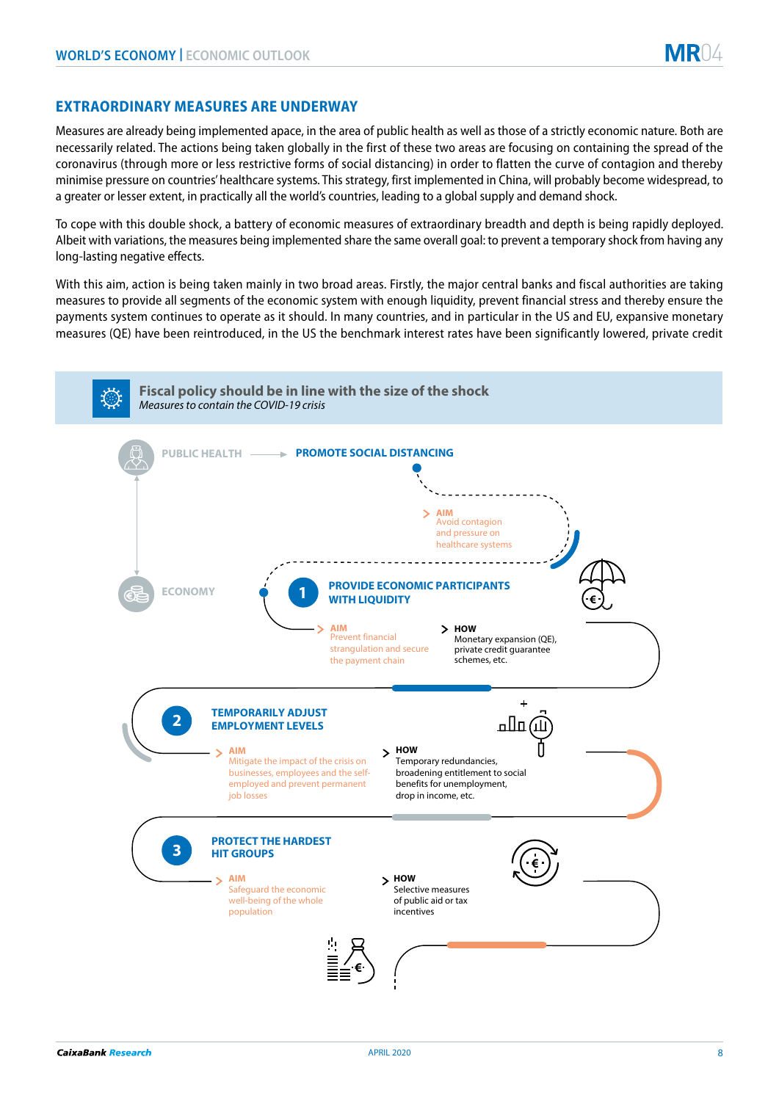# **EXTRAORDINARY MEASURES ARE UNDERWAY**

Measures are already being implemented apace, in the area of public health as well as those of a strictly economic nature. Both are necessarily related. The actions being taken globally in the first of these two areas are focusing on containing the spread of the coronavirus (through more or less restrictive forms of social distancing) in order to flatten the curve of contagion and thereby minimise pressure on countries' healthcare systems. This strategy, first implemented in China, will probably become widespread, to a greater or lesser extent, in practically all the world's countries, leading to a global supply and demand shock.

To cope with this double shock, a battery of economic measures of extraordinary breadth and depth is being rapidly deployed. Albeit with variations, the measures being implemented share the same overall goal: to prevent a temporary shock from having any long-lasting negative effects.

With this aim, action is being taken mainly in two broad areas. Firstly, the major central banks and fiscal authorities are taking measures to provide all segments of the economic system with enough liquidity, prevent financial stress and thereby ensure the payments system continues to operate as it should. In many countries, and in particular in the US and EU, expansive monetary measures (QE) have been reintroduced, in the US the benchmark interest rates have been significantly lowered, private credit

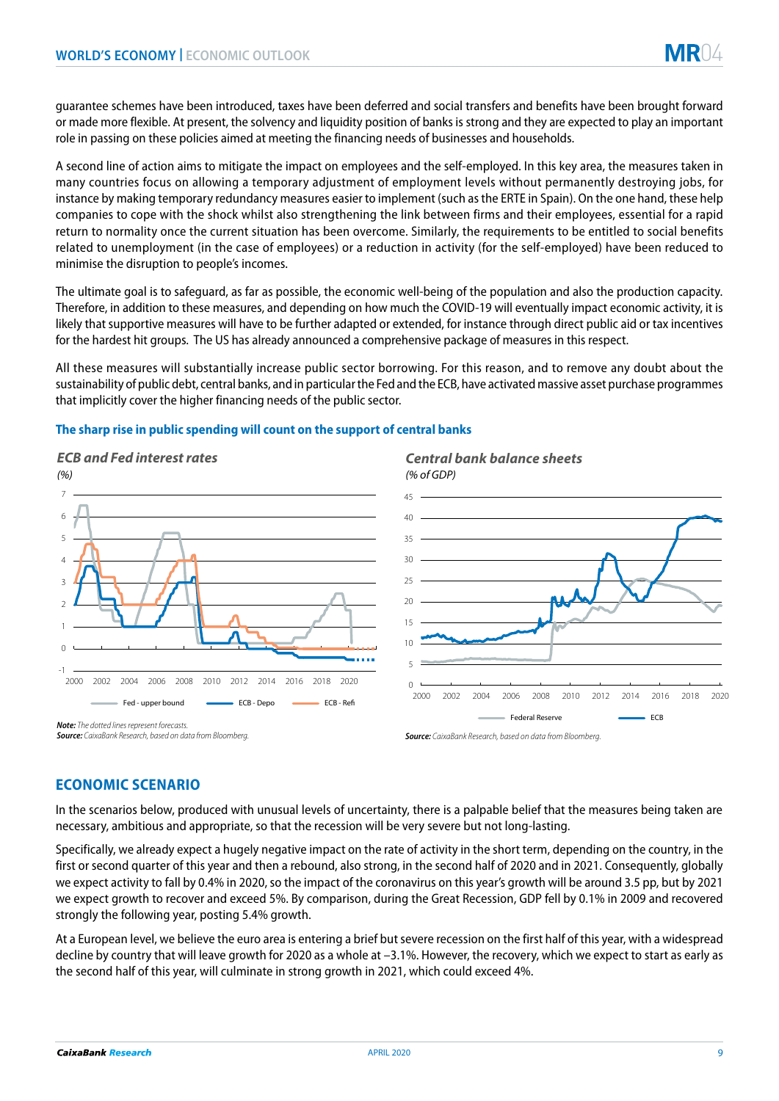guarantee schemes have been introduced, taxes have been deferred and social transfers and benefits have been brought forward or made more flexible. At present, the solvency and liquidity position of banks is strong and they are expected to play an important role in passing on these policies aimed at meeting the financing needs of businesses and households.

A second line of action aims to mitigate the impact on employees and the self-employed. In this key area, the measures taken in many countries focus on allowing a temporary adjustment of employment levels without permanently destroying jobs, for instance by making temporary redundancy measures easier to implement (such as the ERTE in Spain). On the one hand, these help companies to cope with the shock whilst also strengthening the link between firms and their employees, essential for a rapid return to normality once the current situation has been overcome. Similarly, the requirements to be entitled to social benefits related to unemployment (in the case of employees) or a reduction in activity (for the self-employed) have been reduced to minimise the disruption to people's incomes.

The ultimate goal is to safeguard, as far as possible, the economic well-being of the population and also the production capacity. Therefore, in addition to these measures, and depending on how much the COVID-19 will eventually impact economic activity, it is likely that supportive measures will have to be further adapted or extended, for instance through direct public aid or tax incentives for the hardest hit groups. The US has already announced a comprehensive package of measures in this respect.

All these measures will substantially increase public sector borrowing. For this reason, and to remove any doubt about the sustainability of public debt, central banks, and in particular the Fed and the ECB, have activated massive asset purchase programmes that implicitly cover the higher financing needs of the public sector.

#### **The sharp rise in public spending will count on the support of central banks**



# **ECONOMIC SCENARIO**

In the scenarios below, produced with unusual levels of uncertainty, there is a palpable belief that the measures being taken are necessary, ambitious and appropriate, so that the recession will be very severe but not long-lasting.

Specifically, we already expect a hugely negative impact on the rate of activity in the short term, depending on the country, in the first or second quarter of this year and then a rebound, also strong, in the second half of 2020 and in 2021. Consequently, globally we expect activity to fall by 0.4% in 2020, so the impact of the coronavirus on this year's growth will be around 3.5 pp, but by 2021 we expect growth to recover and exceed 5%. By comparison, during the Great Recession, GDP fell by 0.1% in 2009 and recovered strongly the following year, posting 5.4% growth.

At a European level, we believe the euro area is entering a brief but severe recession on the first half of this year, with a widespread decline by country that will leave growth for 2020 as a whole at –3.1%. However, the recovery, which we expect to start as early as the second half of this year, will culminate in strong growth in 2021, which could exceed 4%.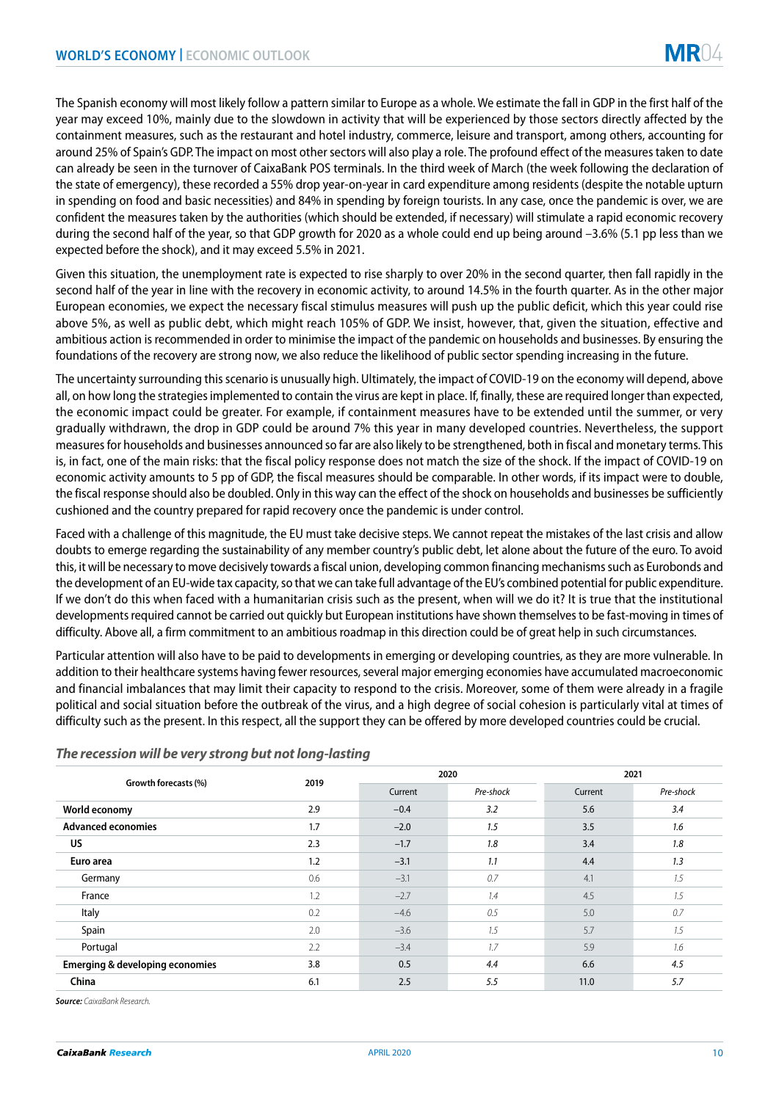The Spanish economy will most likely follow a pattern similar to Europe as a whole. We estimate the fall in GDP in the first half of the year may exceed 10%, mainly due to the slowdown in activity that will be experienced by those sectors directly affected by the containment measures, such as the restaurant and hotel industry, commerce, leisure and transport, among others, accounting for around 25% of Spain's GDP. The impact on most other sectors will also play a role. The profound effect of the measures taken to date can already be seen in the turnover of CaixaBank POS terminals. In the third week of March (the week following the declaration of the state of emergency), these recorded a 55% drop year-on-year in card expenditure among residents (despite the notable upturn in spending on food and basic necessities) and 84% in spending by foreign tourists. In any case, once the pandemic is over, we are confident the measures taken by the authorities (which should be extended, if necessary) will stimulate a rapid economic recovery during the second half of the year, so that GDP growth for 2020 as a whole could end up being around –3.6% (5.1 pp less than we expected before the shock), and it may exceed 5.5% in 2021.

Given this situation, the unemployment rate is expected to rise sharply to over 20% in the second quarter, then fall rapidly in the second half of the year in line with the recovery in economic activity, to around 14.5% in the fourth quarter. As in the other major European economies, we expect the necessary fiscal stimulus measures will push up the public deficit, which this year could rise above 5%, as well as public debt, which might reach 105% of GDP. We insist, however, that, given the situation, effective and ambitious action is recommended in order to minimise the impact of the pandemic on households and businesses. By ensuring the foundations of the recovery are strong now, we also reduce the likelihood of public sector spending increasing in the future.

The uncertainty surrounding this scenario is unusually high. Ultimately, the impact of COVID-19 on the economy will depend, above all, on how long the strategies implemented to contain the virus are kept in place. If, finally, these are required longer than expected, the economic impact could be greater. For example, if containment measures have to be extended until the summer, or very gradually withdrawn, the drop in GDP could be around 7% this year in many developed countries. Nevertheless, the support measures for households and businesses announced so far are also likely to be strengthened, both in fiscal and monetary terms. This is, in fact, one of the main risks: that the fiscal policy response does not match the size of the shock. If the impact of COVID-19 on economic activity amounts to 5 pp of GDP, the fiscal measures should be comparable. In other words, if its impact were to double, the fiscal response should also be doubled. Only in this way can the effect of the shock on households and businesses be sufficiently cushioned and the country prepared for rapid recovery once the pandemic is under control.

Faced with a challenge of this magnitude, the EU must take decisive steps. We cannot repeat the mistakes of the last crisis and allow doubts to emerge regarding the sustainability of any member country's public debt, let alone about the future of the euro. To avoid this, it will be necessary to move decisively towards a fiscal union, developing common financing mechanisms such as Eurobonds and the development of an EU-wide tax capacity, so that we can take full advantage of the EU's combined potential for public expenditure. If we don't do this when faced with a humanitarian crisis such as the present, when will we do it? It is true that the institutional developments required cannot be carried out quickly but European institutions have shown themselves to be fast-moving in times of difficulty. Above all, a firm commitment to an ambitious roadmap in this direction could be of great help in such circumstances.

Particular attention will also have to be paid to developments in emerging or developing countries, as they are more vulnerable. In addition to their healthcare systems having fewer resources, several major emerging economies have accumulated macroeconomic and financial imbalances that may limit their capacity to respond to the crisis. Moreover, some of them were already in a fragile political and social situation before the outbreak of the virus, and a high degree of social cohesion is particularly vital at times of difficulty such as the present. In this respect, all the support they can be offered by more developed countries could be crucial.

| Growth forecasts (%)                       | 2019 | 2020    |           | 2021    |           |
|--------------------------------------------|------|---------|-----------|---------|-----------|
|                                            |      | Current | Pre-shock | Current | Pre-shock |
| World economy                              | 2.9  | $-0.4$  | 3.2       | 5.6     | 3.4       |
| <b>Advanced economies</b>                  | 1.7  | $-2.0$  | 1.5       | 3.5     | 1.6       |
| <b>US</b>                                  | 2.3  | $-1.7$  | 1.8       | 3.4     | 1.8       |
| Euro area                                  | 1.2  | $-3.1$  | 1.1       | 4.4     | 1.3       |
| Germany                                    | 0.6  | $-3.1$  | 0.7       | 4.1     | 1.5       |
| France                                     | 1.2  | $-2.7$  | 1.4       | 4.5     | 1.5       |
| Italy                                      | 0.2  | $-4.6$  | 0.5       | 5.0     | 0.7       |
| Spain                                      | 2.0  | $-3.6$  | 1.5       | 5.7     | 1.5       |
| Portugal                                   | 2.2  | $-3.4$  | 1.7       | 5.9     | 1.6       |
| <b>Emerging &amp; developing economies</b> | 3.8  | 0.5     | 4.4       | 6.6     | 4.5       |
| China                                      | 6.1  | 2.5     | 5.5       | 11.0    | 5.7       |

#### *The recession will be very strong but not long-lasting*

*Source: CaixaBank Research.*